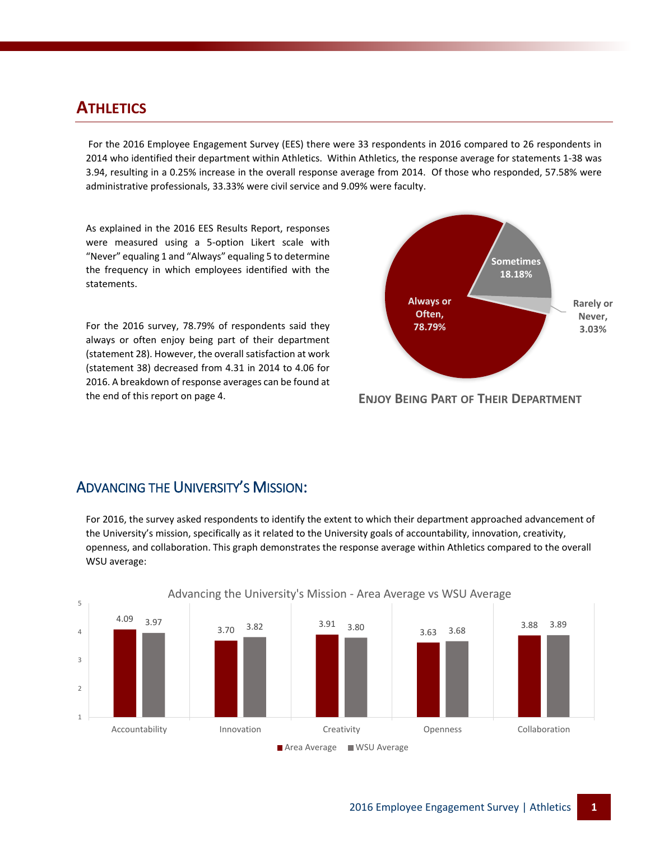### **ATHLETICS**

For the 2016 Employee Engagement Survey (EES) there were 33 respondents in 2016 compared to 26 respondents in 2014 who identified their department within Athletics. Within Athletics, the response average for statements 1-38 was 3.94, resulting in a 0.25% increase in the overall response average from 2014. Of those who responded, 57.58% were administrative professionals, 33.33% were civil service and 9.09% were faculty.

As explained in the 2016 EES Results Report, responses were measured using a 5-option Likert scale with "Never" equaling 1 and "Always" equaling 5 to determine the frequency in which employees identified with the statements.

For the 2016 survey, 78.79% of respondents said they always or often enjoy being part of their department (statement 28). However, the overall satisfaction at work (statement 38) decreased from 4.31 in 2014 to 4.06 for 2016. A breakdown of response averages can be found at the end of this report on page 4.



**ENJOY BEING PART OF THEIR DEPARTMENT**

### ADVANCING THE UNIVERSITY'S MISSION:

For 2016, the survey asked respondents to identify the extent to which their department approached advancement of the University's mission, specifically as it related to the University goals of accountability, innovation, creativity, openness, and collaboration. This graph demonstrates the response average within Athletics compared to the overall WSU average:



Advancing the University's Mission - Area Average vs WSU Average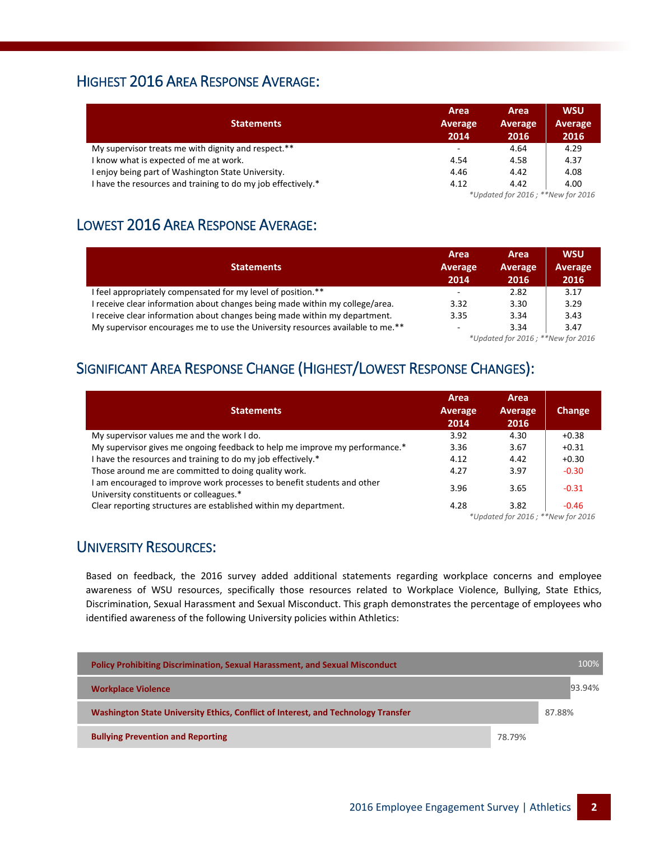### HIGHEST 2016 AREA RESPONSE AVERAGE:

| <b>Statements</b>                                            | Area<br>Average<br>2014                          | Area<br>Average<br>2016 | <b>WSU</b><br><b>Average</b><br>2016 |  |
|--------------------------------------------------------------|--------------------------------------------------|-------------------------|--------------------------------------|--|
| My supervisor treats me with dignity and respect.**          | $\sim$                                           | 4.64                    | 4.29                                 |  |
| I know what is expected of me at work.                       | 4.54                                             | 4.58                    | 4.37                                 |  |
| I enjoy being part of Washington State University.           | 4.46                                             | 4.42                    | 4.08                                 |  |
| I have the resources and training to do my job effectively.* | 4.12                                             | 4.42                    | 4.00                                 |  |
|                                                              | $*$ I Indated for $2016 \cdot **$ New for $2016$ |                         |                                      |  |

*\*Updated for 2016 ; \*\*New for 2016*

## LOWEST 2016 AREA RESPONSE AVERAGE:

| <b>Statements</b>                                                              | Area<br>Average<br>2014                         | Area<br>Average<br>2016 | <b>WSU</b><br><b>Average</b><br>2016 |
|--------------------------------------------------------------------------------|-------------------------------------------------|-------------------------|--------------------------------------|
| I feel appropriately compensated for my level of position.**                   | $\overline{\phantom{a}}$                        | 2.82                    | 3.17                                 |
| I receive clear information about changes being made within my college/area.   | 3.32                                            | 3.30                    | 3.29                                 |
| I receive clear information about changes being made within my department.     | 3.35                                            | 3.34                    | 3.43                                 |
| My supervisor encourages me to use the University resources available to me.** | ٠                                               | 3.34                    | 3.47                                 |
|                                                                                | $*$ Indated for $2016 \cdot * *$ New for $2016$ |                         |                                      |

*\*Updated for 2016 ; \*\*New for 2016*

# SIGNIFICANT AREA RESPONSE CHANGE (HIGHEST/LOWEST RESPONSE CHANGES):

| <b>Statements</b>                                                                                                  | Area<br>Average<br>2014           | Area<br>Average<br>2016 | Change  |
|--------------------------------------------------------------------------------------------------------------------|-----------------------------------|-------------------------|---------|
| My supervisor values me and the work I do.                                                                         | 3.92                              | 4.30                    | $+0.38$ |
| My supervisor gives me ongoing feedback to help me improve my performance.*                                        | 3.36                              | 3.67                    | $+0.31$ |
| I have the resources and training to do my job effectively.*                                                       | 4.12                              | 4.42                    | $+0.30$ |
| Those around me are committed to doing quality work.                                                               | 4.27                              | 3.97                    | $-0.30$ |
| I am encouraged to improve work processes to benefit students and other<br>University constituents or colleagues.* | 3.96                              | 3.65                    | $-0.31$ |
| Clear reporting structures are established within my department.                                                   | 4.28                              | 3.82                    | $-0.46$ |
|                                                                                                                    | *Updated for 2016; **New for 2016 |                         |         |

### UNIVERSITY RESOURCES:

Based on feedback, the 2016 survey added additional statements regarding workplace concerns and employee awareness of WSU resources, specifically those resources related to Workplace Violence, Bullying, State Ethics, Discrimination, Sexual Harassment and Sexual Misconduct. This graph demonstrates the percentage of employees who identified awareness of the following University policies within Athletics:

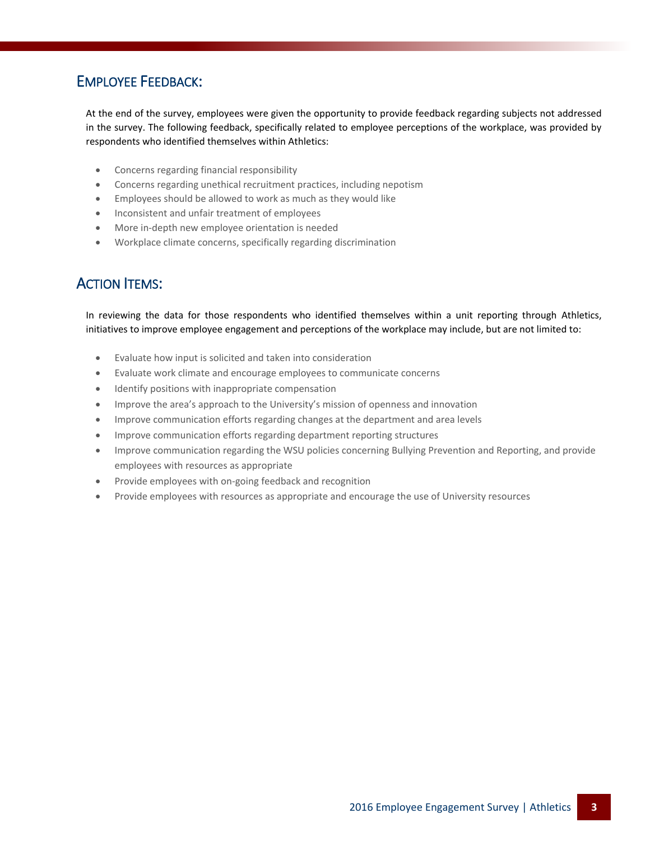### EMPLOYEE FEEDBACK:

At the end of the survey, employees were given the opportunity to provide feedback regarding subjects not addressed in the survey. The following feedback, specifically related to employee perceptions of the workplace, was provided by respondents who identified themselves within Athletics:

- Concerns regarding financial responsibility
- Concerns regarding unethical recruitment practices, including nepotism
- Employees should be allowed to work as much as they would like
- Inconsistent and unfair treatment of employees
- More in-depth new employee orientation is needed
- Workplace climate concerns, specifically regarding discrimination

### **ACTION ITEMS:**

In reviewing the data for those respondents who identified themselves within a unit reporting through Athletics, initiatives to improve employee engagement and perceptions of the workplace may include, but are not limited to:

- Evaluate how input is solicited and taken into consideration
- Evaluate work climate and encourage employees to communicate concerns
- Identify positions with inappropriate compensation
- Improve the area's approach to the University's mission of openness and innovation
- Improve communication efforts regarding changes at the department and area levels
- Improve communication efforts regarding department reporting structures
- Improve communication regarding the WSU policies concerning Bullying Prevention and Reporting, and provide employees with resources as appropriate
- Provide employees with on-going feedback and recognition
- Provide employees with resources as appropriate and encourage the use of University resources